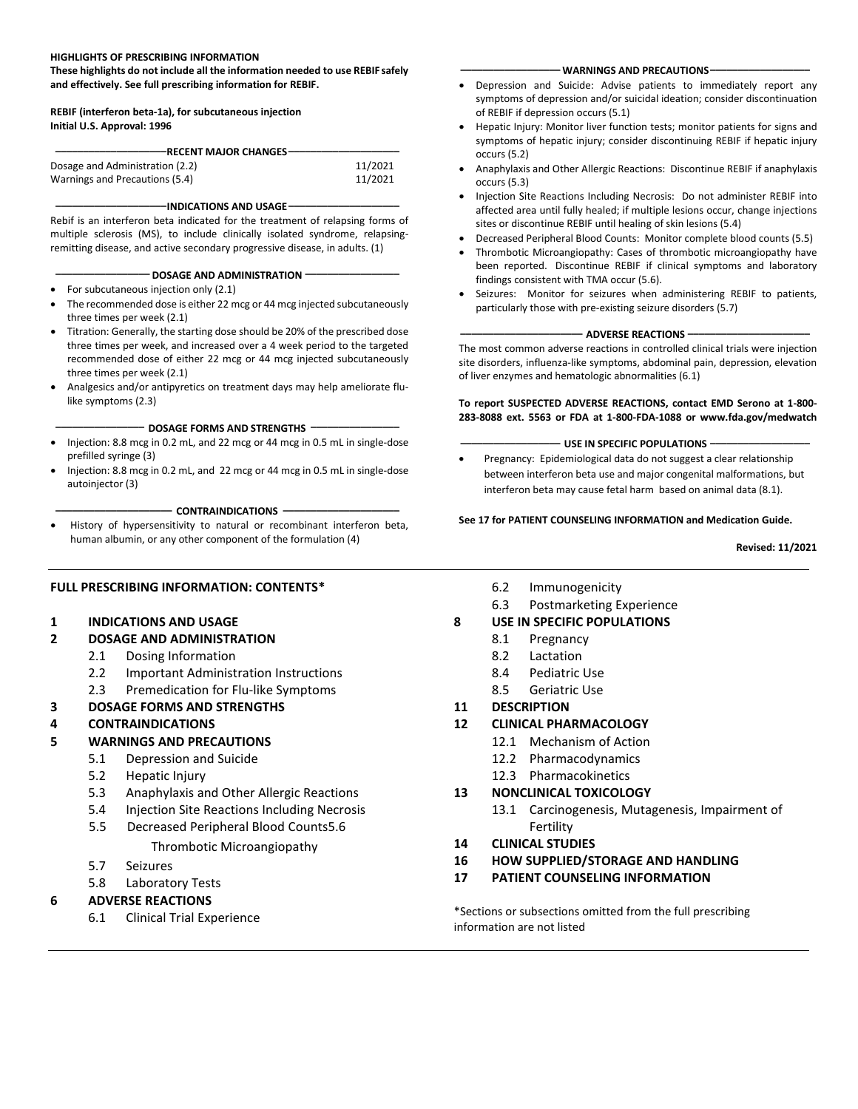#### **HIGHLIGHTS OF PRESCRIBING INFORMATION**

**These highlights do not include all the information needed to use REBIF safely and effectively. See full prescribing information for REBIF.**

#### **REBIF (interferon beta-1a), for subcutaneous injection Initial U.S. Approval: 1996**

| <b>RECENT MAJOR CHANGES</b>     |         |
|---------------------------------|---------|
|                                 |         |
| Dosage and Administration (2.2) | 11/2021 |
| Warnings and Precautions (5.4)  | 11/2021 |

#### **\_\_\_\_\_\_\_\_\_\_\_\_\_\_\_\_\_\_\_\_INDICATIONS AND USAGE\_\_\_\_\_\_\_\_\_\_\_\_\_\_\_\_\_\_\_\_**

Rebif is an interferon beta indicated for the treatment of relapsing forms of multiple sclerosis (MS), to include clinically isolated syndrome, relapsingremitting disease, and active secondary progressive disease, in adults. (1)

#### **\_\_\_\_\_\_\_\_\_\_\_\_\_\_\_\_\_ DOSAGE AND ADMINISTRATION \_\_\_\_\_\_\_\_\_\_\_\_\_\_\_\_\_**

- For subcutaneous injection only (2.1)
- The recommended dose is either 22 mcg or 44 mcg injected subcutaneously three times per week (2.1)
- Titration: Generally, the starting dose should be 20% of the prescribed dose three times per week, and increased over a 4 week period to the targeted recommended dose of either 22 mcg or 44 mcg injected subcutaneously three times per week (2.1)
- Analgesics and/or antipyretics on treatment days may help ameliorate flulike symptoms (2.3)

#### **\_\_\_\_\_\_\_\_\_\_\_\_\_\_\_\_ DOSAGE FORMS AND STRENGTHS \_\_\_\_\_\_\_\_\_\_\_\_\_\_\_\_**

- Injection: 8.8 mcg in 0.2 mL, and 22 mcg or 44 mcg in 0.5 mL in single-dose prefilled syringe (3)
- Injection: 8.8 mcg in 0.2 mL, and 22 mcg or 44 mcg in 0.5 mL in single-dose autoinjector (3)

#### **\_\_\_\_\_\_\_\_\_\_\_\_\_\_\_\_\_\_\_\_\_ CONTRAINDICATIONS \_\_\_\_\_\_\_\_\_\_\_\_\_\_\_\_\_\_\_\_\_**

• History of hypersensitivity to natural or recombinant interferon beta, human albumin, or any other component of the formulation (4)

#### **FULL PRESCRIBING INFORMATION: CONTENTS\***

#### **1 INDICATIONS AND USAGE**

#### **2 DOSAGE AND ADMINISTRATION**

- 2.1 Dosing Information
- 2.2 Important Administration Instructions
- 2.3 Premedication for Flu-like Symptoms
- **3 DOSAGE FORMS AND STRENGTHS**

### **4 CONTRAINDICATIONS**

### **5 WARNINGS AND PRECAUTIONS**

- 5.1 Depression and Suicide
- 5.2 Hepatic Injury
- 5.3 Anaphylaxis and Other Allergic Reactions
- 5.4 Injection Site Reactions Including Necrosis
- 5.5 Decreased Peripheral Blood Counts5.6

### Thrombotic Microangiopathy

- 5.7 Seizures
- 5.8 Laboratory Tests

### **6 ADVERSE REACTIONS**

6.1 Clinical Trial Experience

- 6.2 Immunogenicity
- 6.3 Postmarketing Experience
- **8 USE IN SPECIFIC POPULATIONS**
	- 8.1 Pregnancy
		- 8.2 Lactation
		- 8.4 Pediatric Use
		- 8.5 Geriatric Use
- **11 DESCRIPTION**

### **12 CLINICAL PHARMACOLOGY**

- 12.1 Mechanism of Action
- 12.2 Pharmacodynamics
- 12.3 Pharmacokinetics

#### **13 NONCLINICAL TOXICOLOGY**

- 13.1 Carcinogenesis, Mutagenesis, Impairment of Fertility
- **14 CLINICAL STUDIES**
- **16 HOW SUPPLIED/STORAGE AND HANDLING**
- **17 PATIENT COUNSELING INFORMATION**

\*Sections or subsections omitted from the full prescribing information are not listed

#### **\_\_\_\_\_\_\_\_\_\_\_\_\_\_\_\_\_\_ WARNINGS AND PRECAUTIONS\_\_\_\_\_\_\_\_\_\_\_\_\_\_\_\_\_\_**

- Depression and Suicide: Advise patients to immediately report any symptoms of depression and/or suicidal ideation; consider discontinuation of REBIF if depression occurs (5.1)
- Hepatic Injury: Monitor liver function tests; monitor patients for signs and symptoms of hepatic injury; consider discontinuing REBIF if hepatic injury occurs (5.2)
- Anaphylaxis and Other Allergic Reactions: Discontinue REBIF if anaphylaxis occurs (5.3)
- Injection Site Reactions Including Necrosis: Do not administer REBIF into affected area until fully healed; if multiple lesions occur, change injections sites or discontinue REBIF until healing of skin lesions (5.4)
- Decreased Peripheral Blood Counts: Monitor complete blood counts (5.5)
- Thrombotic Microangiopathy: Cases of thrombotic microangiopathy have been reported. Discontinue REBIF if clinical symptoms and laboratory findings consistent with TMA occur (5.6).
- Seizures: Monitor for seizures when administering REBIF to patients, particularly those with pre-existing seizure disorders (5.7)

#### **\_\_\_\_\_\_\_\_\_\_\_\_\_\_\_\_\_\_\_\_\_\_ ADVERSE REACTIONS \_\_\_\_\_\_\_\_\_\_\_\_\_\_\_\_\_\_\_\_\_\_**

The most common adverse reactions in controlled clinical trials were injection site disorders, influenza-like symptoms, abdominal pain, depression, elevation of liver enzymes and hematologic abnormalities (6.1)

#### **To report SUSPECTED ADVERSE REACTIONS, contact EMD Serono at 1-800- 283-8088 ext. 5563 or FDA at 1-800-FDA-1088 or www.fda.gov/medwatch**

#### **\_\_\_\_\_\_\_\_\_\_\_\_\_\_\_\_\_\_ USE IN SPECIFIC POPULATIONS \_\_\_\_\_\_\_\_\_\_\_\_\_\_\_\_\_\_**

• Pregnancy: Epidemiological data do not suggest a clear relationship between interferon beta use and major congenital malformations, but interferon beta may cause fetal harm based on animal data (8.1).

#### **See 17 for PATIENT COUNSELING INFORMATION and Medication Guide.**

**Revised: 11/2021**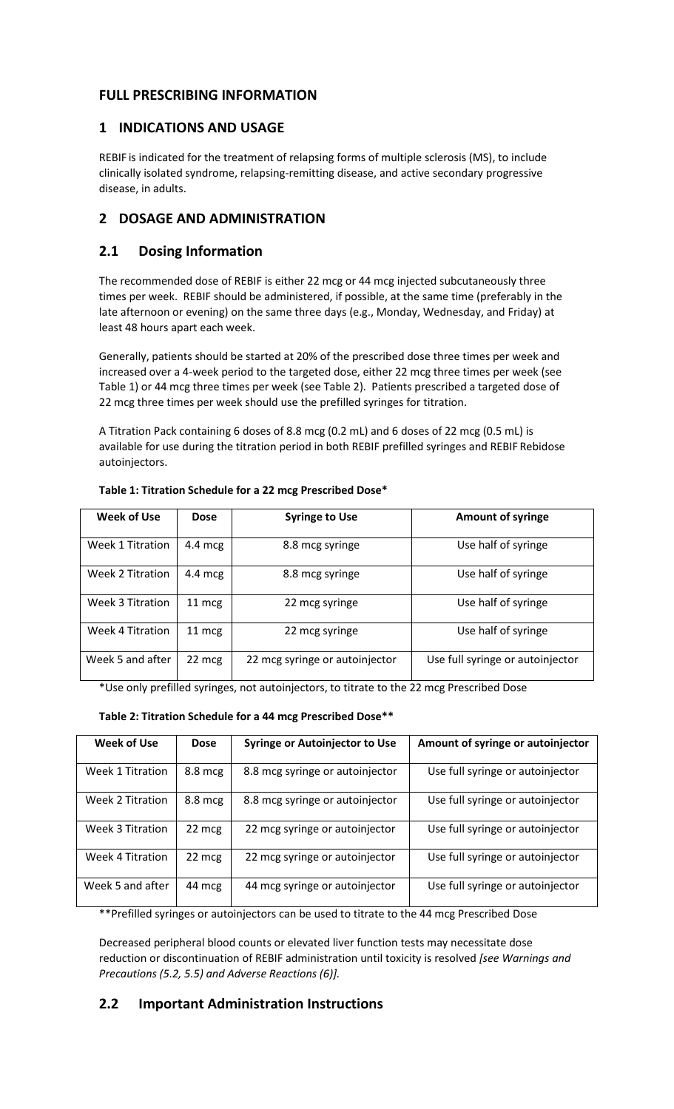# **FULL PRESCRIBING INFORMATION**

## **1 INDICATIONS AND USAGE**

REBIF is indicated for the treatment of relapsing forms of multiple sclerosis (MS), to include clinically isolated syndrome, relapsing-remitting disease, and active secondary progressive disease, in adults.

# **2 DOSAGE AND ADMINISTRATION**

# **2.1 Dosing Information**

The recommended dose of REBIF is either 22 mcg or 44 mcg injected subcutaneously three times per week. REBIF should be administered, if possible, at the same time (preferably in the late afternoon or evening) on the same three days (e.g., Monday, Wednesday, and Friday) at least 48 hours apart each week.

Generally, patients should be started at 20% of the prescribed dose three times per week and increased over a 4-week period to the targeted dose, either 22 mcg three times per week (see Table 1) or 44 mcg three times per week (see Table 2). Patients prescribed a targeted dose of 22 mcg three times per week should use the prefilled syringes for titration.

A Titration Pack containing 6 doses of 8.8 mcg (0.2 mL) and 6 doses of 22 mcg (0.5 mL) is available for use during the titration period in both REBIF prefilled syringes and REBIF Rebidose autoinjectors.

| Week of Use             | <b>Dose</b>       | <b>Syringe to Use</b>          | <b>Amount of syringe</b>         |
|-------------------------|-------------------|--------------------------------|----------------------------------|
| Week 1 Titration        | 4.4 mcg           | 8.8 mcg syringe                | Use half of syringe              |
| Week 2 Titration        | $4.4 \text{ mcg}$ | 8.8 mcg syringe                | Use half of syringe              |
| <b>Week 3 Titration</b> | 11 mcg            | 22 mcg syringe                 | Use half of syringe              |
| <b>Week 4 Titration</b> | 11 mcg            | 22 mcg syringe                 | Use half of syringe              |
| Week 5 and after        | 22 mcg            | 22 mcg syringe or autoinjector | Use full syringe or autoinjector |

## **Table 1: Titration Schedule for a 22 mcg Prescribed Dose\***

\*Use only prefilled syringes, not autoinjectors, to titrate to the 22 mcg Prescribed Dose

## **Table 2: Titration Schedule for a 44 mcg Prescribed Dose\*\***

| Week of Use      | <b>Dose</b>       | <b>Syringe or Autoinjector to Use</b> | Amount of syringe or autoinjector |
|------------------|-------------------|---------------------------------------|-----------------------------------|
| Week 1 Titration | $8.8 \text{ mcg}$ | 8.8 mcg syringe or autoinjector       | Use full syringe or autoinjector  |
| Week 2 Titration | $8.8 \text{ mcg}$ | 8.8 mcg syringe or autoinjector       | Use full syringe or autoinjector  |
| Week 3 Titration | 22 mcg            | 22 mcg syringe or autoinjector        | Use full syringe or autoinjector  |
| Week 4 Titration | 22 mcg            | 22 mcg syringe or autoinjector        | Use full syringe or autoinjector  |
| Week 5 and after | 44 mcg            | 44 mcg syringe or autoinjector        | Use full syringe or autoinjector  |

\*\*Prefilled syringes or autoinjectors can be used to titrate to the 44 mcg Prescribed Dose

Decreased peripheral blood counts or elevated liver function tests may necessitate dose reduction or discontinuation of REBIF administration until toxicity is resolved *[see Warnings and Precautions (5.2, 5.5) and Adverse Reactions (6)].*

# **2.2 Important Administration Instructions**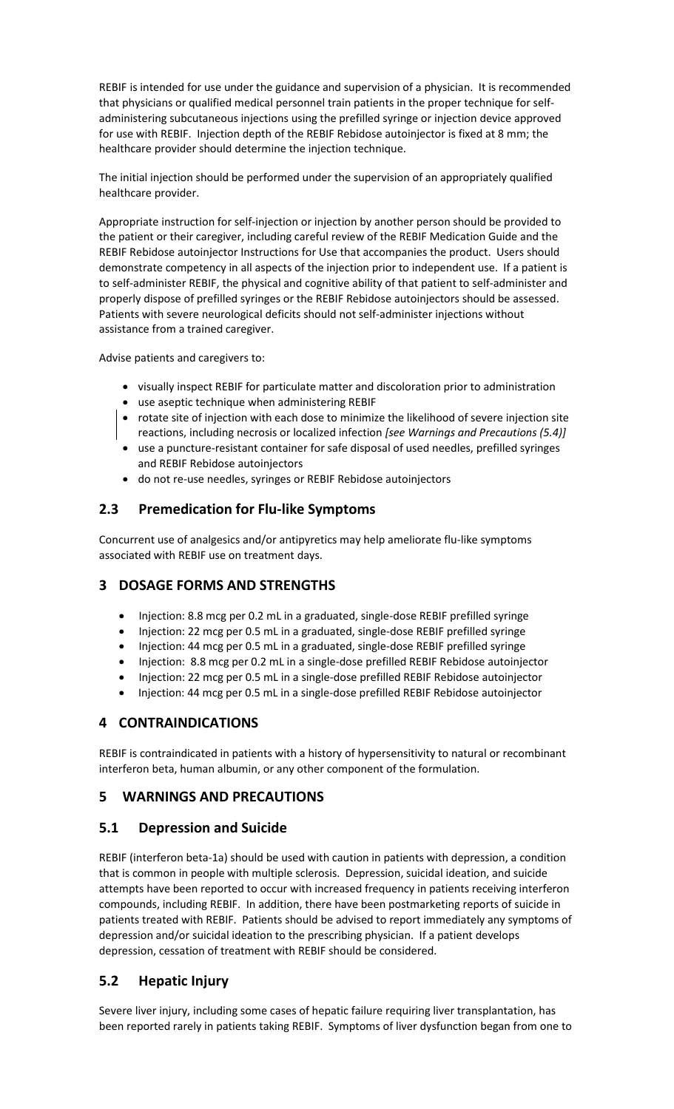REBIF is intended for use under the guidance and supervision of a physician. It is recommended that physicians or qualified medical personnel train patients in the proper technique for selfadministering subcutaneous injections using the prefilled syringe or injection device approved for use with REBIF. Injection depth of the REBIF Rebidose autoinjector is fixed at 8 mm; the healthcare provider should determine the injection technique.

The initial injection should be performed under the supervision of an appropriately qualified healthcare provider.

Appropriate instruction for self-injection or injection by another person should be provided to the patient or their caregiver, including careful review of the REBIF Medication Guide and the REBIF Rebidose autoinjector Instructions for Use that accompanies the product. Users should demonstrate competency in all aspects of the injection prior to independent use. If a patient is to self-administer REBIF, the physical and cognitive ability of that patient to self-administer and properly dispose of prefilled syringes or the REBIF Rebidose autoinjectors should be assessed. Patients with severe neurological deficits should not self-administer injections without assistance from a trained caregiver.

Advise patients and caregivers to:

- visually inspect REBIF for particulate matter and discoloration prior to administration
- use aseptic technique when administering REBIF
- rotate site of injection with each dose to minimize the likelihood of severe injection site reactions, including necrosis or localized infection *[see Warnings and Precautions (5.4)]*
- use a puncture-resistant container for safe disposal of used needles, prefilled syringes and REBIF Rebidose autoinjectors
- do not re-use needles, syringes or REBIF Rebidose autoinjectors

# **2.3 Premedication for Flu-like Symptoms**

Concurrent use of analgesics and/or antipyretics may help ameliorate flu-like symptoms associated with REBIF use on treatment days.

## **3 DOSAGE FORMS AND STRENGTHS**

- Injection: 8.8 mcg per 0.2 mL in a graduated, single-dose REBIF prefilled syringe
- Injection: 22 mcg per 0.5 mL in a graduated, single-dose REBIF prefilled syringe
- Injection: 44 mcg per 0.5 mL in a graduated, single-dose REBIF prefilled syringe
- Injection: 8.8 mcg per 0.2 mL in a single-dose prefilled REBIF Rebidose autoinjector
- Injection: 22 mcg per 0.5 mL in a single-dose prefilled REBIF Rebidose autoinjector
- Injection: 44 mcg per 0.5 mL in a single-dose prefilled REBIF Rebidose autoinjector

## **4 CONTRAINDICATIONS**

REBIF is contraindicated in patients with a history of hypersensitivity to natural or recombinant interferon beta, human albumin, or any other component of the formulation.

## **5 WARNINGS AND PRECAUTIONS**

## **5.1 Depression and Suicide**

REBIF (interferon beta-1a) should be used with caution in patients with depression, a condition that is common in people with multiple sclerosis. Depression, suicidal ideation, and suicide attempts have been reported to occur with increased frequency in patients receiving interferon compounds, including REBIF. In addition, there have been postmarketing reports of suicide in patients treated with REBIF. Patients should be advised to report immediately any symptoms of depression and/or suicidal ideation to the prescribing physician. If a patient develops depression, cessation of treatment with REBIF should be considered.

## **5.2 Hepatic Injury**

Severe liver injury, including some cases of hepatic failure requiring liver transplantation, has been reported rarely in patients taking REBIF. Symptoms of liver dysfunction began from one to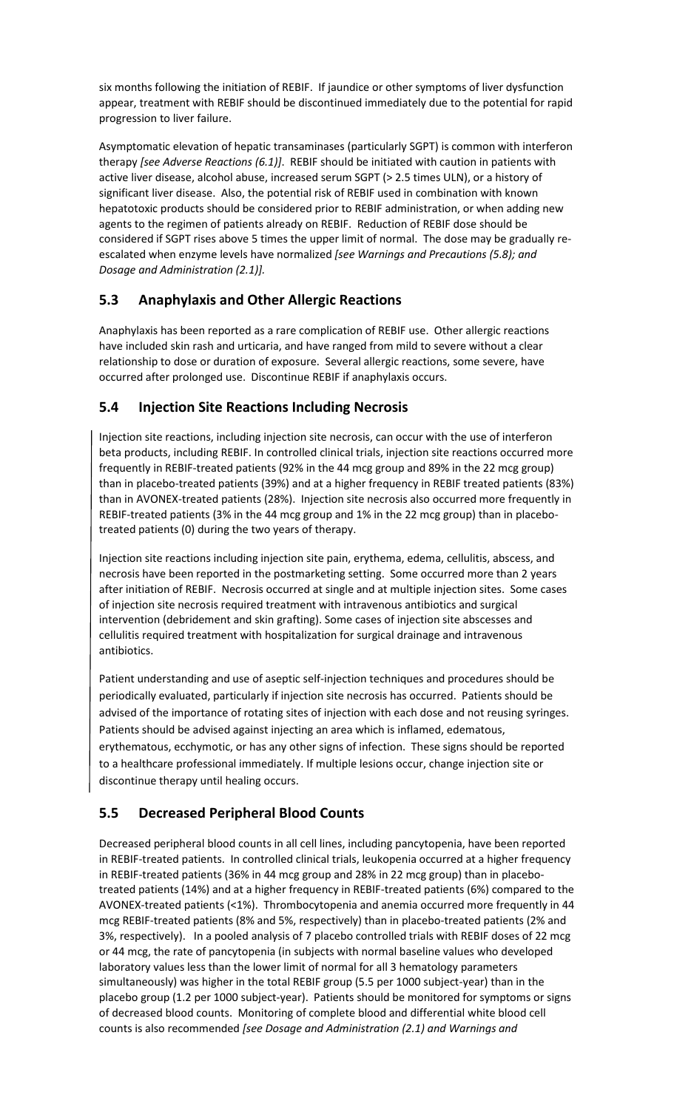six months following the initiation of REBIF. If jaundice or other symptoms of liver dysfunction appear, treatment with REBIF should be discontinued immediately due to the potential for rapid progression to liver failure.

Asymptomatic elevation of hepatic transaminases (particularly SGPT) is common with interferon therapy *[see Adverse Reactions (6.1)]*. REBIF should be initiated with caution in patients with active liver disease, alcohol abuse, increased serum SGPT (> 2.5 times ULN), or a history of significant liver disease. Also, the potential risk of REBIF used in combination with known hepatotoxic products should be considered prior to REBIF administration, or when adding new agents to the regimen of patients already on REBIF. Reduction of REBIF dose should be considered if SGPT rises above 5 times the upper limit of normal. The dose may be gradually reescalated when enzyme levels have normalized *[see Warnings and Precautions (5.8); and Dosage and Administration (2.1)].*

# **5.3 Anaphylaxis and Other Allergic Reactions**

Anaphylaxis has been reported as a rare complication of REBIF use. Other allergic reactions have included skin rash and urticaria, and have ranged from mild to severe without a clear relationship to dose or duration of exposure. Several allergic reactions, some severe, have occurred after prolonged use. Discontinue REBIF if anaphylaxis occurs.

# **5.4 Injection Site Reactions Including Necrosis**

Injection site reactions, including injection site necrosis, can occur with the use of interferon beta products, including REBIF. In controlled clinical trials, injection site reactions occurred more frequently in REBIF-treated patients (92% in the 44 mcg group and 89% in the 22 mcg group) than in placebo-treated patients (39%) and at a higher frequency in REBIF treated patients (83%) than in AVONEX-treated patients (28%). Injection site necrosis also occurred more frequently in REBIF-treated patients (3% in the 44 mcg group and 1% in the 22 mcg group) than in placebotreated patients (0) during the two years of therapy.

Injection site reactions including injection site pain, erythema, edema, cellulitis, abscess, and necrosis have been reported in the postmarketing setting. Some occurred more than 2 years after initiation of REBIF. Necrosis occurred at single and at multiple injection sites. Some cases of injection site necrosis required treatment with intravenous antibiotics and surgical intervention (debridement and skin grafting). Some cases of injection site abscesses and cellulitis required treatment with hospitalization for surgical drainage and intravenous antibiotics.

Patient understanding and use of aseptic self-injection techniques and procedures should be periodically evaluated, particularly if injection site necrosis has occurred. Patients should be advised of the importance of rotating sites of injection with each dose and not reusing syringes. Patients should be advised against injecting an area which is inflamed, edematous, erythematous, ecchymotic, or has any other signs of infection. These signs should be reported to a healthcare professional immediately. If multiple lesions occur, change injection site or discontinue therapy until healing occurs.

# **5.5 Decreased Peripheral Blood Counts**

Decreased peripheral blood counts in all cell lines, including pancytopenia, have been reported in REBIF-treated patients. In controlled clinical trials, leukopenia occurred at a higher frequency in REBIF-treated patients (36% in 44 mcg group and 28% in 22 mcg group) than in placebotreated patients (14%) and at a higher frequency in REBIF-treated patients (6%) compared to the AVONEX-treated patients (<1%). Thrombocytopenia and anemia occurred more frequently in 44 mcg REBIF-treated patients (8% and 5%, respectively) than in placebo-treated patients (2% and 3%, respectively). In a pooled analysis of 7 placebo controlled trials with REBIF doses of 22 mcg or 44 mcg, the rate of pancytopenia (in subjects with normal baseline values who developed laboratory values less than the lower limit of normal for all 3 hematology parameters simultaneously) was higher in the total REBIF group (5.5 per 1000 subject-year) than in the placebo group (1.2 per 1000 subject-year). Patients should be monitored for symptoms or signs of decreased blood counts. Monitoring of complete blood and differential white blood cell counts is also recommended *[see Dosage and Administration (2.1) and Warnings and*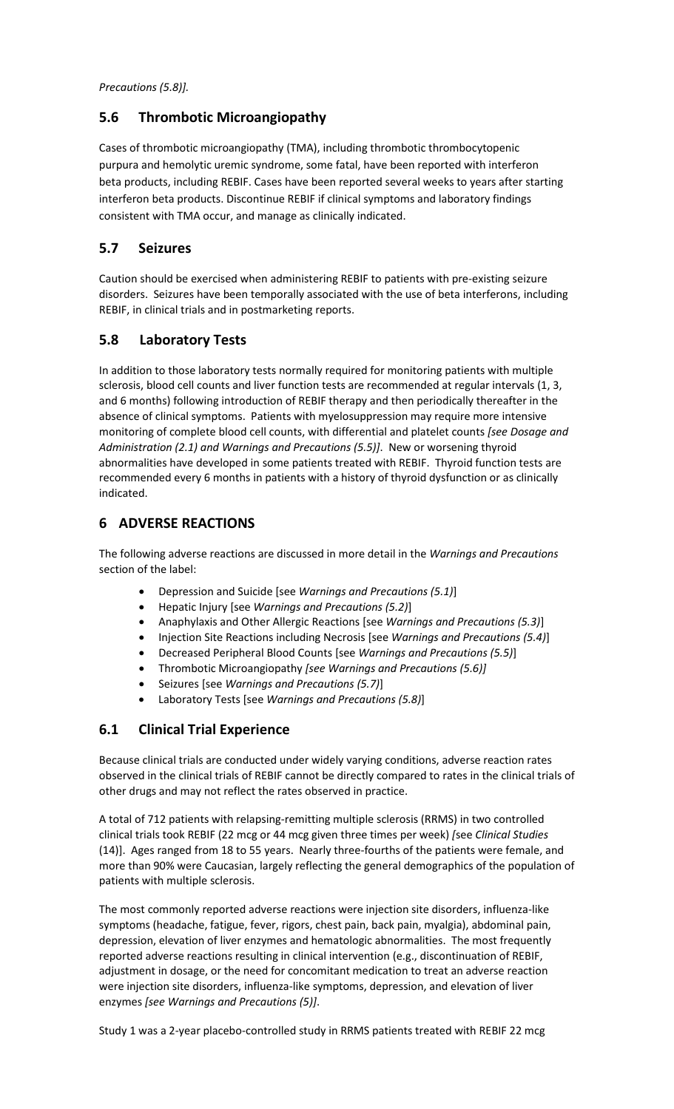*Precautions (5.8)].*

## **5.6 Thrombotic Microangiopathy**

Cases of thrombotic microangiopathy (TMA), including thrombotic thrombocytopenic purpura and hemolytic uremic syndrome, some fatal, have been reported with interferon beta products, including REBIF. Cases have been reported several weeks to years after starting interferon beta products. Discontinue REBIF if clinical symptoms and laboratory findings consistent with TMA occur, and manage as clinically indicated.

# **5.7 Seizures**

Caution should be exercised when administering REBIF to patients with pre-existing seizure disorders. Seizures have been temporally associated with the use of beta interferons, including REBIF, in clinical trials and in postmarketing reports.

# **5.8 Laboratory Tests**

In addition to those laboratory tests normally required for monitoring patients with multiple sclerosis, blood cell counts and liver function tests are recommended at regular intervals (1, 3, and 6 months) following introduction of REBIF therapy and then periodically thereafter in the absence of clinical symptoms. Patients with myelosuppression may require more intensive monitoring of complete blood cell counts, with differential and platelet counts *[see Dosage and Administration (2.1) and Warnings and Precautions (5.5)]*. New or worsening thyroid abnormalities have developed in some patients treated with REBIF. Thyroid function tests are recommended every 6 months in patients with a history of thyroid dysfunction or as clinically indicated.

# **6 ADVERSE REACTIONS**

The following adverse reactions are discussed in more detail in the *Warnings and Precautions* section of the label:

- Depression and Suicide [see *Warnings and Precautions (5.1)*]
- Hepatic Injury [see *Warnings and Precautions (5.2)*]
- Anaphylaxis and Other Allergic Reactions [see *Warnings and Precautions (5.3)*]
- Injection Site Reactions including Necrosis [see *Warnings and Precautions (5.4)*]
- Decreased Peripheral Blood Counts [see *Warnings and Precautions (5.5)*]
- Thrombotic Microangiopathy *[see Warnings and Precautions (5.6)]*
- Seizures [see *Warnings and Precautions (5.7)*]
- Laboratory Tests [see *Warnings and Precautions (5.8)*]

# **6.1 Clinical Trial Experience**

Because clinical trials are conducted under widely varying conditions, adverse reaction rates observed in the clinical trials of REBIF cannot be directly compared to rates in the clinical trials of other drugs and may not reflect the rates observed in practice.

A total of 712 patients with relapsing-remitting multiple sclerosis (RRMS) in two controlled clinical trials took REBIF (22 mcg or 44 mcg given three times per week) *[*see *Clinical Studies* (14)]. Ages ranged from 18 to 55 years. Nearly three-fourths of the patients were female, and more than 90% were Caucasian, largely reflecting the general demographics of the population of patients with multiple sclerosis.

The most commonly reported adverse reactions were injection site disorders, influenza-like symptoms (headache, fatigue, fever, rigors, chest pain, back pain, myalgia), abdominal pain, depression, elevation of liver enzymes and hematologic abnormalities. The most frequently reported adverse reactions resulting in clinical intervention (e.g., discontinuation of REBIF, adjustment in dosage, or the need for concomitant medication to treat an adverse reaction were injection site disorders, influenza-like symptoms, depression, and elevation of liver enzymes *[see Warnings and Precautions (5)]*.

Study 1 was a 2-year placebo-controlled study in RRMS patients treated with REBIF 22 mcg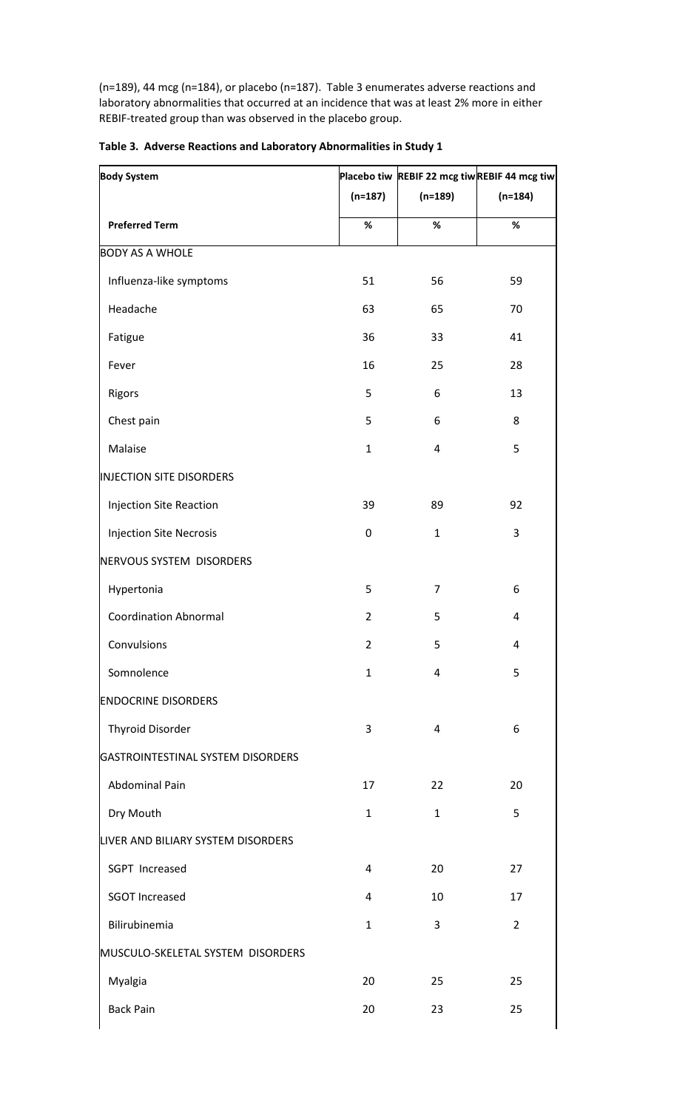(n=189), 44 mcg (n=184), or placebo (n=187). Table 3 enumerates adverse reactions and laboratory abnormalities that occurred at an incidence that was at least 2% more in either REBIF-treated group than was observed in the placebo group.

| <b>Body System</b>                 |                |                | Placebo tiw REBIF 22 mcg tiwREBIF 44 mcg tiw |  |  |
|------------------------------------|----------------|----------------|----------------------------------------------|--|--|
|                                    | $(n=187)$      | $(n=189)$      | $(n=184)$                                    |  |  |
| <b>Preferred Term</b>              | $\%$           | $\%$           | $\%$                                         |  |  |
| <b>BODY AS A WHOLE</b>             |                |                |                                              |  |  |
| Influenza-like symptoms            | 51             | 56             | 59                                           |  |  |
| Headache                           | 63             | 65             | 70                                           |  |  |
| Fatigue                            | 36             | 33             | 41                                           |  |  |
| Fever                              | 16             | 25             | 28                                           |  |  |
| Rigors                             | 5              | 6              | 13                                           |  |  |
| Chest pain                         | 5              | 6              | 8                                            |  |  |
| Malaise                            | $\mathbf 1$    | $\overline{4}$ | 5                                            |  |  |
| INJECTION SITE DISORDERS           |                |                |                                              |  |  |
| <b>Injection Site Reaction</b>     | 39             | 89             | 92                                           |  |  |
| <b>Injection Site Necrosis</b>     | 0              | $\mathbf{1}$   | 3                                            |  |  |
| NERVOUS SYSTEM DISORDERS           |                |                |                                              |  |  |
| Hypertonia                         | 5              | $\overline{7}$ | 6                                            |  |  |
| <b>Coordination Abnormal</b>       | $\overline{2}$ | 5              | 4                                            |  |  |
| Convulsions                        | $\overline{2}$ | 5              | 4                                            |  |  |
| Somnolence                         | $\mathbf{1}$   | 4              | 5                                            |  |  |
| <b>ENDOCRINE DISORDERS</b>         |                |                |                                              |  |  |
| <b>Thyroid Disorder</b>            | 3              | $\overline{4}$ | 6                                            |  |  |
| GASTROINTESTINAL SYSTEM DISORDERS  |                |                |                                              |  |  |
| Abdominal Pain                     | 17             | 22             | 20                                           |  |  |
| Dry Mouth                          | $\mathbf{1}$   | $\mathbf{1}$   | 5                                            |  |  |
| LIVER AND BILIARY SYSTEM DISORDERS |                |                |                                              |  |  |
| SGPT Increased                     | 4              | 20             | 27                                           |  |  |
| <b>SGOT Increased</b>              | 4              | 10             | 17                                           |  |  |
| Bilirubinemia                      | $\mathbf{1}$   | 3              | $\overline{2}$                               |  |  |
| MUSCULO-SKELETAL SYSTEM DISORDERS  |                |                |                                              |  |  |
| Myalgia                            | 20             | 25             | 25                                           |  |  |
| <b>Back Pain</b>                   | 20             | 23             | 25                                           |  |  |
|                                    |                |                |                                              |  |  |

|  |  |  |  | Table 3. Adverse Reactions and Laboratory Abnormalities in Study 1 |  |
|--|--|--|--|--------------------------------------------------------------------|--|
|--|--|--|--|--------------------------------------------------------------------|--|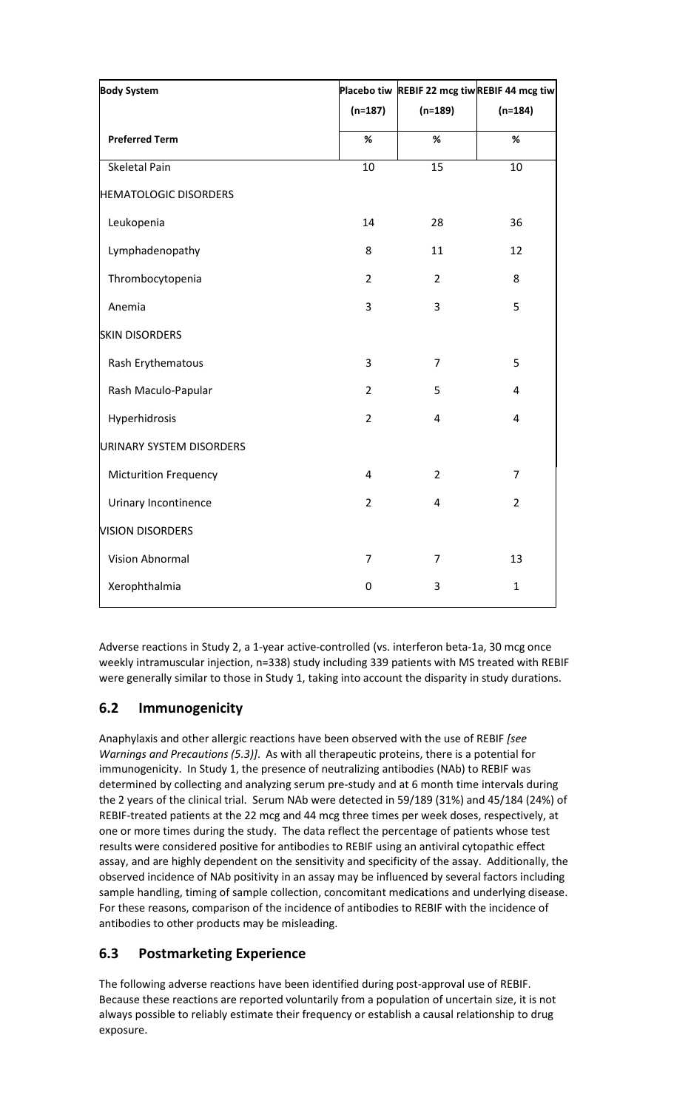| <b>Body System</b>           |                         | Placebo tiw REBIF 22 mcg tiwREBIF 44 mcg tiw |                |
|------------------------------|-------------------------|----------------------------------------------|----------------|
|                              | $(n=187)$               | $(n=189)$                                    | $(n=184)$      |
| <b>Preferred Term</b>        | %                       | %                                            | %              |
| Skeletal Pain                | 10                      | 15                                           | $10\,$         |
| <b>HEMATOLOGIC DISORDERS</b> |                         |                                              |                |
| Leukopenia                   | 14                      | 28                                           | 36             |
| Lymphadenopathy              | 8                       | 11                                           | 12             |
| Thrombocytopenia             | $\overline{2}$          | $\overline{2}$                               | 8              |
| Anemia                       | 3                       | 3                                            | 5              |
| <b>SKIN DISORDERS</b>        |                         |                                              |                |
| Rash Erythematous            | 3                       | $\overline{7}$                               | 5              |
| Rash Maculo-Papular          | $\overline{2}$          | 5                                            | 4              |
| Hyperhidrosis                | $\overline{2}$          | $\overline{4}$                               | 4              |
| URINARY SYSTEM DISORDERS     |                         |                                              |                |
| <b>Micturition Frequency</b> | $\overline{\mathbf{4}}$ | $\overline{2}$                               | $\overline{7}$ |
| Urinary Incontinence         | $\overline{2}$          | 4                                            | $\overline{2}$ |
| <b>VISION DISORDERS</b>      |                         |                                              |                |
| Vision Abnormal              | $\overline{7}$          | $\overline{7}$                               | 13             |
| Xerophthalmia                | $\pmb{0}$               | 3                                            | $\mathbf 1$    |

Adverse reactions in Study 2, a 1-year active-controlled (vs. interferon beta-1a, 30 mcg once weekly intramuscular injection, n=338) study including 339 patients with MS treated with REBIF were generally similar to those in Study 1, taking into account the disparity in study durations.

# **6.2 Immunogenicity**

Anaphylaxis and other allergic reactions have been observed with the use of REBIF *[see Warnings and Precautions (5.3)]*. As with all therapeutic proteins, there is a potential for immunogenicity. In Study 1, the presence of neutralizing antibodies (NAb) to REBIF was determined by collecting and analyzing serum pre-study and at 6 month time intervals during the 2 years of the clinical trial. Serum NAb were detected in 59/189 (31%) and 45/184 (24%) of REBIF-treated patients at the 22 mcg and 44 mcg three times per week doses, respectively, at one or more times during the study. The data reflect the percentage of patients whose test results were considered positive for antibodies to REBIF using an antiviral cytopathic effect assay, and are highly dependent on the sensitivity and specificity of the assay. Additionally, the observed incidence of NAb positivity in an assay may be influenced by several factors including sample handling, timing of sample collection, concomitant medications and underlying disease. For these reasons, comparison of the incidence of antibodies to REBIF with the incidence of antibodies to other products may be misleading.

# **6.3 Postmarketing Experience**

The following adverse reactions have been identified during post-approval use of REBIF. Because these reactions are reported voluntarily from a population of uncertain size, it is not always possible to reliably estimate their frequency or establish a causal relationship to drug exposure.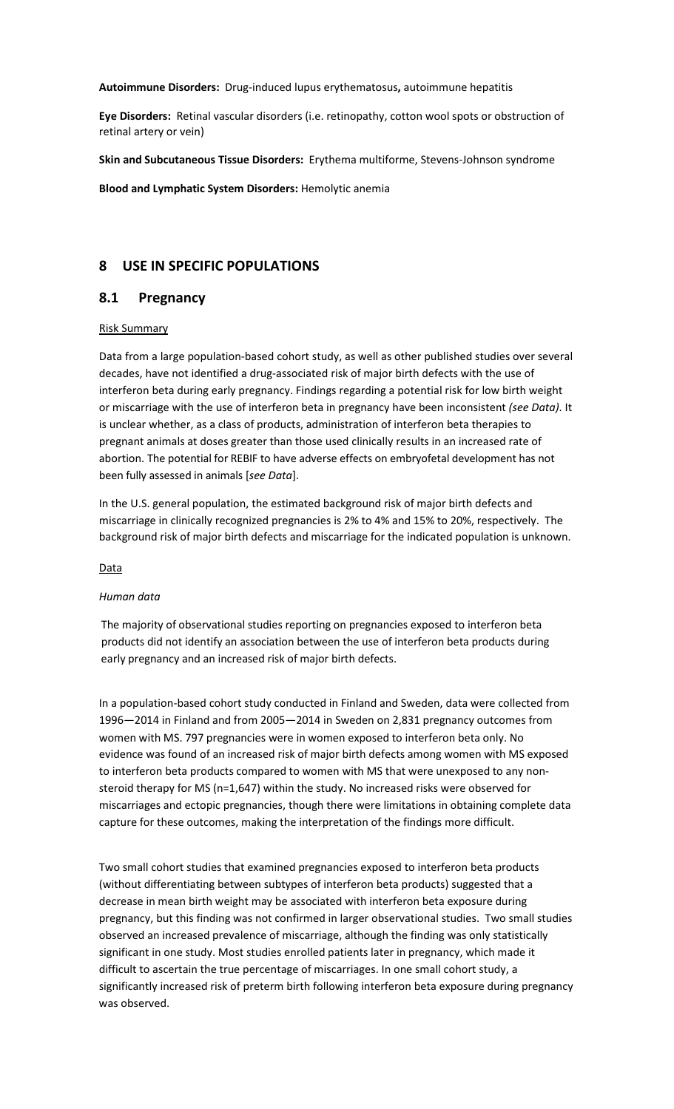**Autoimmune Disorders:** Drug-induced lupus erythematosus**,** autoimmune hepatitis

**Eye Disorders:** Retinal vascular disorders (i.e. retinopathy, cotton wool spots or obstruction of retinal artery or vein)

**Skin and Subcutaneous Tissue Disorders:** Erythema multiforme, Stevens-Johnson syndrome

**Blood and Lymphatic System Disorders:** Hemolytic anemia

## **8 USE IN SPECIFIC POPULATIONS**

## **8.1 Pregnancy**

### Risk Summary

Data from a large population-based cohort study, as well as other published studies over several decades, have not identified a drug-associated risk of major birth defects with the use of interferon beta during early pregnancy. Findings regarding a potential risk for low birth weight or miscarriage with the use of interferon beta in pregnancy have been inconsistent *(see Data)*. It is unclear whether, as a class of products, administration of interferon beta therapies to pregnant animals at doses greater than those used clinically results in an increased rate of abortion. The potential for REBIF to have adverse effects on embryofetal development has not been fully assessed in animals [*see Data*].

In the U.S. general population, the estimated background risk of major birth defects and miscarriage in clinically recognized pregnancies is 2% to 4% and 15% to 20%, respectively. The background risk of major birth defects and miscarriage for the indicated population is unknown.

### **Data**

### *Human data*

The majority of observational studies reporting on pregnancies exposed to interferon beta products did not identify an association between the use of interferon beta products during early pregnancy and an increased risk of major birth defects.

In a population-based cohort study conducted in Finland and Sweden, data were collected from 1996—2014 in Finland and from 2005—2014 in Sweden on 2,831 pregnancy outcomes from women with MS. 797 pregnancies were in women exposed to interferon beta only. No evidence was found of an increased risk of major birth defects among women with MS exposed to interferon beta products compared to women with MS that were unexposed to any nonsteroid therapy for MS (n=1,647) within the study. No increased risks were observed for miscarriages and ectopic pregnancies, though there were limitations in obtaining complete data capture for these outcomes, making the interpretation of the findings more difficult.

Two small cohort studies that examined pregnancies exposed to interferon beta products (without differentiating between subtypes of interferon beta products) suggested that a decrease in mean birth weight may be associated with interferon beta exposure during pregnancy, but this finding was not confirmed in larger observational studies. Two small studies observed an increased prevalence of miscarriage, although the finding was only statistically significant in one study. Most studies enrolled patients later in pregnancy, which made it difficult to ascertain the true percentage of miscarriages. In one small cohort study, a significantly increased risk of preterm birth following interferon beta exposure during pregnancy was observed.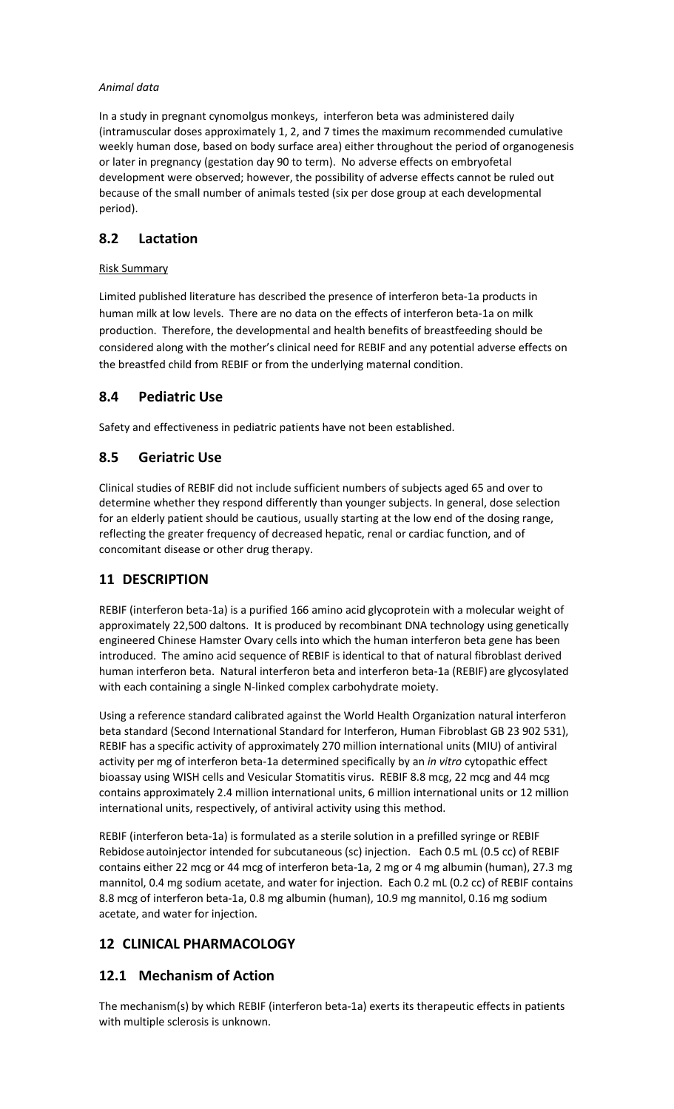## *Animal data*

In a study in pregnant cynomolgus monkeys, interferon beta was administered daily (intramuscular doses approximately 1, 2, and 7 times the maximum recommended cumulative weekly human dose, based on body surface area) either throughout the period of organogenesis or later in pregnancy (gestation day 90 to term). No adverse effects on embryofetal development were observed; however, the possibility of adverse effects cannot be ruled out because of the small number of animals tested (six per dose group at each developmental period).

# **8.2 Lactation**

## Risk Summary

Limited published literature has described the presence of interferon beta-1a products in human milk at low levels. There are no data on the effects of interferon beta-1a on milk production. Therefore, the developmental and health benefits of breastfeeding should be considered along with the mother's clinical need for REBIF and any potential adverse effects on the breastfed child from REBIF or from the underlying maternal condition.

# **8.4 Pediatric Use**

Safety and effectiveness in pediatric patients have not been established.

# **8.5 Geriatric Use**

Clinical studies of REBIF did not include sufficient numbers of subjects aged 65 and over to determine whether they respond differently than younger subjects. In general, dose selection for an elderly patient should be cautious, usually starting at the low end of the dosing range, reflecting the greater frequency of decreased hepatic, renal or cardiac function, and of concomitant disease or other drug therapy.

# **11 DESCRIPTION**

REBIF (interferon beta-1a) is a purified 166 amino acid glycoprotein with a molecular weight of approximately 22,500 daltons. It is produced by recombinant DNA technology using genetically engineered Chinese Hamster Ovary cells into which the human interferon beta gene has been introduced. The amino acid sequence of REBIF is identical to that of natural fibroblast derived human interferon beta. Natural interferon beta and interferon beta-1a (REBIF) are glycosylated with each containing a single N-linked complex carbohydrate moiety.

Using a reference standard calibrated against the World Health Organization natural interferon beta standard (Second International Standard for Interferon, Human Fibroblast GB 23 902 531), REBIF has a specific activity of approximately 270 million international units (MIU) of antiviral activity per mg of interferon beta-1a determined specifically by an *in vitro* cytopathic effect bioassay using WISH cells and Vesicular Stomatitis virus. REBIF 8.8 mcg, 22 mcg and 44 mcg contains approximately 2.4 million international units, 6 million international units or 12 million international units, respectively, of antiviral activity using this method.

REBIF (interferon beta-1a) is formulated as a sterile solution in a prefilled syringe or REBIF Rebidose autoinjector intended for subcutaneous (sc) injection. Each 0.5 mL (0.5 cc) of REBIF contains either 22 mcg or 44 mcg of interferon beta-1a, 2 mg or 4 mg albumin (human), 27.3 mg mannitol, 0.4 mg sodium acetate, and water for injection. Each 0.2 mL (0.2 cc) of REBIF contains 8.8 mcg of interferon beta-1a, 0.8 mg albumin (human), 10.9 mg mannitol, 0.16 mg sodium acetate, and water for injection.

# **12 CLINICAL PHARMACOLOGY**

## **12.1 Mechanism of Action**

The mechanism(s) by which REBIF (interferon beta-1a) exerts its therapeutic effects in patients with multiple sclerosis is unknown.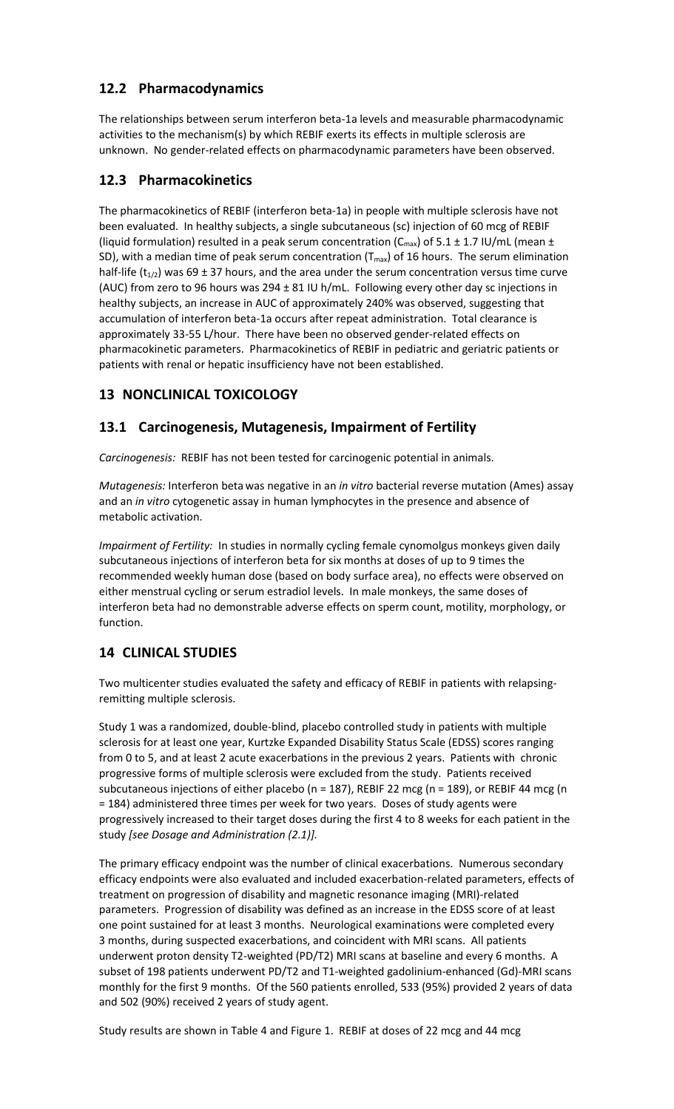# **12.2 Pharmacodynamics**

The relationships between serum interferon beta-1a levels and measurable pharmacodynamic activities to the mechanism(s) by which REBIF exerts its effects in multiple sclerosis are unknown. No gender-related effects on pharmacodynamic parameters have been observed.

# **12.3 Pharmacokinetics**

The pharmacokinetics of REBIF (interferon beta-1a) in people with multiple sclerosis have not been evaluated. In healthy subjects, a single subcutaneous (sc) injection of 60 mcg of REBIF (liquid formulation) resulted in a peak serum concentration ( $C_{max}$ ) of 5.1 ± 1.7 IU/mL (mean ± SD), with a median time of peak serum concentration ( $T_{max}$ ) of 16 hours. The serum elimination half-life ( $t_{1/2}$ ) was 69 ± 37 hours, and the area under the serum concentration versus time curve (AUC) from zero to 96 hours was 294 ± 81 IU h/mL. Following every other day sc injections in healthy subjects, an increase in AUC of approximately 240% was observed, suggesting that accumulation of interferon beta-1a occurs after repeat administration. Total clearance is approximately 33-55 L/hour. There have been no observed gender-related effects on pharmacokinetic parameters. Pharmacokinetics of REBIF in pediatric and geriatric patients or patients with renal or hepatic insufficiency have not been established.

# **13 NONCLINICAL TOXICOLOGY**

# **13.1 Carcinogenesis, Mutagenesis, Impairment of Fertility**

*Carcinogenesis:* REBIF has not been tested for carcinogenic potential in animals.

*Mutagenesis:* Interferon betawas negative in an *in vitro* bacterial reverse mutation (Ames) assay and an *in vitro* cytogenetic assay in human lymphocytes in the presence and absence of metabolic activation.

*Impairment of Fertility:* In studies in normally cycling female cynomolgus monkeys given daily subcutaneous injections of interferon beta for six months at doses of up to 9 times the recommended weekly human dose (based on body surface area), no effects were observed on either menstrual cycling or serum estradiol levels. In male monkeys, the same doses of interferon beta had no demonstrable adverse effects on sperm count, motility, morphology, or function.

## **14 CLINICAL STUDIES**

Two multicenter studies evaluated the safety and efficacy of REBIF in patients with relapsingremitting multiple sclerosis.

Study 1 was a randomized, double-blind, placebo controlled study in patients with multiple sclerosis for at least one year, Kurtzke Expanded Disability Status Scale (EDSS) scores ranging from 0 to 5, and at least 2 acute exacerbations in the previous 2 years. Patients with chronic progressive forms of multiple sclerosis were excluded from the study. Patients received subcutaneous injections of either placebo (n = 187), REBIF 22 mcg (n = 189), or REBIF 44 mcg (n = 184) administered three times per week for two years. Doses of study agents were progressively increased to their target doses during the first 4 to 8 weeks for each patient in the study *[see Dosage and Administration (2.1)].*

The primary efficacy endpoint was the number of clinical exacerbations. Numerous secondary efficacy endpoints were also evaluated and included exacerbation-related parameters, effects of treatment on progression of disability and magnetic resonance imaging (MRI)-related parameters. Progression of disability was defined as an increase in the EDSS score of at least one point sustained for at least 3 months. Neurological examinations were completed every 3 months, during suspected exacerbations, and coincident with MRI scans. All patients underwent proton density T2-weighted (PD/T2) MRI scans at baseline and every 6 months. A subset of 198 patients underwent PD/T2 and T1-weighted gadolinium-enhanced (Gd)-MRI scans monthly for the first 9 months. Of the 560 patients enrolled, 533 (95%) provided 2 years of data and 502 (90%) received 2 years of study agent.

Study results are shown in Table 4 and Figure 1. REBIF at doses of 22 mcg and 44 mcg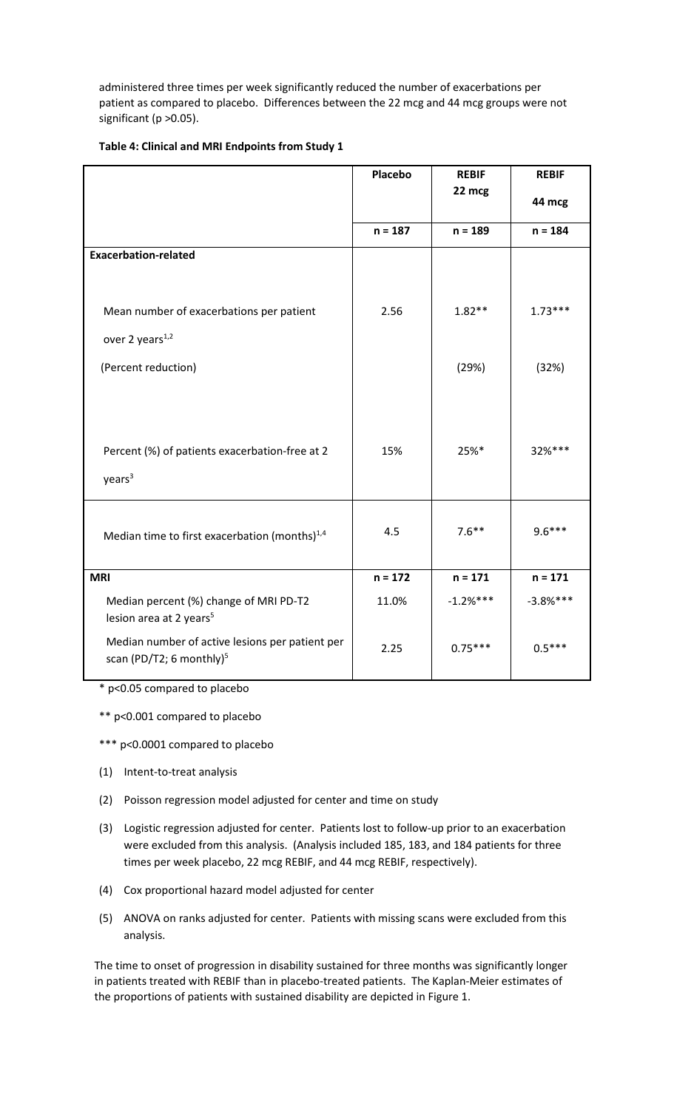administered three times per week significantly reduced the number of exacerbations per patient as compared to placebo. Differences between the 22 mcg and 44 mcg groups were not significant (p > 0.05).

| Table 4: Clinical and MRI Endpoints from Study 1 |  |
|--------------------------------------------------|--|
|--------------------------------------------------|--|

|                                                                                         | <b>Placebo</b> | <b>REBIF</b> | <b>REBIF</b> |
|-----------------------------------------------------------------------------------------|----------------|--------------|--------------|
|                                                                                         |                | 22 mcg       | 44 mcg       |
|                                                                                         | $n = 187$      | $n = 189$    | $n = 184$    |
| <b>Exacerbation-related</b>                                                             |                |              |              |
|                                                                                         |                |              |              |
| Mean number of exacerbations per patient                                                | 2.56           | $1.82**$     | $1.73***$    |
| over 2 years <sup>1,2</sup>                                                             |                |              |              |
| (Percent reduction)                                                                     |                | (29%)        | (32%)        |
|                                                                                         |                |              |              |
|                                                                                         |                |              |              |
|                                                                                         |                |              |              |
| Percent (%) of patients exacerbation-free at 2                                          | 15%            | 25%*         | 32%***       |
| years <sup>3</sup>                                                                      |                |              |              |
|                                                                                         |                |              |              |
| Median time to first exacerbation (months) <sup>1,4</sup>                               | 4.5            | $7.6***$     | $9.6***$     |
|                                                                                         |                |              |              |
| <b>MRI</b>                                                                              | $n = 172$      | $n = 171$    | $n = 171$    |
| Median percent (%) change of MRI PD-T2<br>lesion area at 2 years <sup>5</sup>           | 11.0%          | $-1.2%***$   | $-3.8%***$   |
| Median number of active lesions per patient per<br>scan (PD/T2; 6 monthly) <sup>5</sup> | 2.25           | $0.75***$    | $0.5***$     |
|                                                                                         |                |              |              |

\* p<0.05 compared to placebo

\*\* p<0.001 compared to placebo

\*\*\* p<0.0001 compared to placebo

- (1) Intent-to-treat analysis
- (2) Poisson regression model adjusted for center and time on study
- (3) Logistic regression adjusted for center. Patients lost to follow-up prior to an exacerbation were excluded from this analysis. (Analysis included 185, 183, and 184 patients for three times per week placebo, 22 mcg REBIF, and 44 mcg REBIF, respectively).
- (4) Cox proportional hazard model adjusted for center
- (5) ANOVA on ranks adjusted for center. Patients with missing scans were excluded from this analysis.

The time to onset of progression in disability sustained for three months was significantly longer in patients treated with REBIF than in placebo-treated patients. The Kaplan-Meier estimates of the proportions of patients with sustained disability are depicted in Figure 1.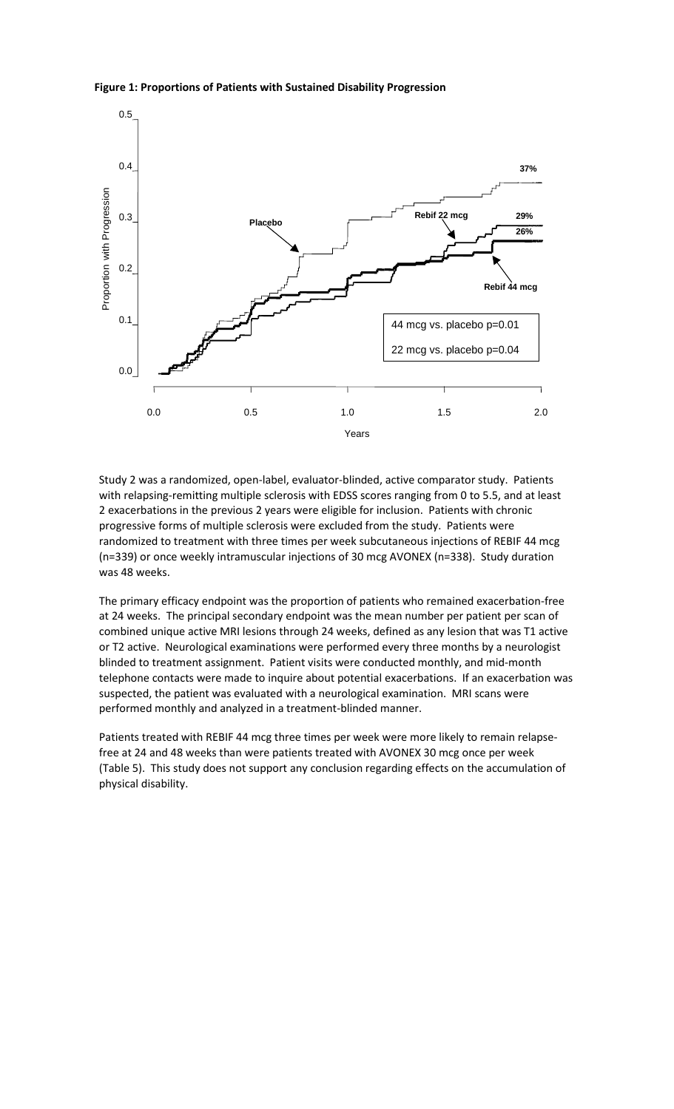### **Figure 1: Proportions of Patients with Sustained Disability Progression**



Study 2 was a randomized, open-label, evaluator-blinded, active comparator study. Patients with relapsing-remitting multiple sclerosis with EDSS scores ranging from 0 to 5.5, and at least 2 exacerbations in the previous 2 years were eligible for inclusion. Patients with chronic progressive forms of multiple sclerosis were excluded from the study. Patients were randomized to treatment with three times per week subcutaneous injections of REBIF 44 mcg (n=339) or once weekly intramuscular injections of 30 mcg AVONEX (n=338). Study duration was 48 weeks.

The primary efficacy endpoint was the proportion of patients who remained exacerbation-free at 24 weeks. The principal secondary endpoint was the mean number per patient per scan of combined unique active MRI lesions through 24 weeks, defined as any lesion that was T1 active or T2 active. Neurological examinations were performed every three months by a neurologist blinded to treatment assignment. Patient visits were conducted monthly, and mid-month telephone contacts were made to inquire about potential exacerbations. If an exacerbation was suspected, the patient was evaluated with a neurological examination. MRI scans were performed monthly and analyzed in a treatment-blinded manner.

Patients treated with REBIF 44 mcg three times per week were more likely to remain relapsefree at 24 and 48 weeks than were patients treated with AVONEX 30 mcg once per week (Table 5). This study does not support any conclusion regarding effects on the accumulation of physical disability.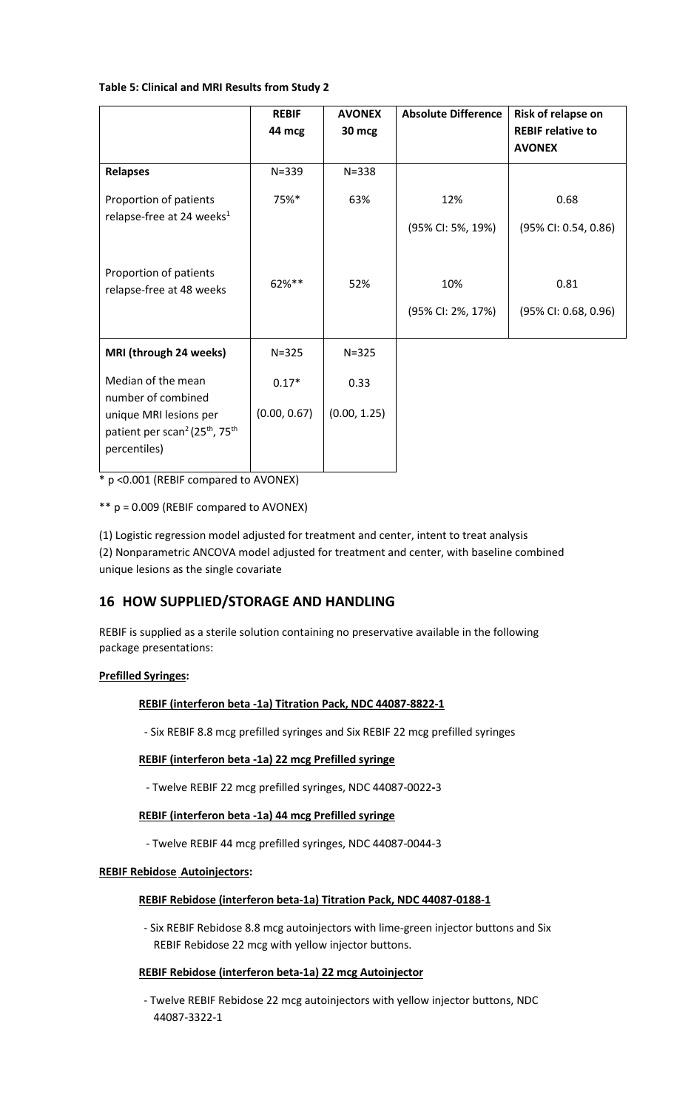## **Table 5: Clinical and MRI Results from Study 2**

|                                                                                                                                                            | <b>REBIF</b><br>44 mcg  | <b>AVONEX</b><br>30 mcg | <b>Absolute Difference</b>                    | Risk of relapse on<br><b>REBIF relative to</b><br><b>AVONEX</b> |
|------------------------------------------------------------------------------------------------------------------------------------------------------------|-------------------------|-------------------------|-----------------------------------------------|-----------------------------------------------------------------|
| <b>Relapses</b>                                                                                                                                            | $N = 339$               | $N = 338$               |                                               |                                                                 |
| Proportion of patients<br>relapse-free at 24 weeks <sup>1</sup>                                                                                            | 75%*                    | 63%                     | 12%                                           | 0.68                                                            |
| Proportion of patients<br>relapse-free at 48 weeks                                                                                                         | 62%**                   | 52%                     | (95% CI: 5%, 19%)<br>10%<br>(95% CI: 2%, 17%) | (95% CI: 0.54, 0.86)<br>0.81<br>(95% CI: 0.68, 0.96)            |
| MRI (through 24 weeks)                                                                                                                                     | $N = 325$               | $N = 325$               |                                               |                                                                 |
| Median of the mean<br>number of combined<br>unique MRI lesions per<br>patient per scan <sup>2</sup> (25 <sup>th</sup> , 75 <sup>th</sup> )<br>percentiles) | $0.17*$<br>(0.00, 0.67) | 0.33<br>(0.00, 1.25)    |                                               |                                                                 |
|                                                                                                                                                            |                         |                         |                                               |                                                                 |

\* p <0.001 (REBIF compared to AVONEX)

\*\* p = 0.009 (REBIF compared to AVONEX)

(1) Logistic regression model adjusted for treatment and center, intent to treat analysis (2) Nonparametric ANCOVA model adjusted for treatment and center, with baseline combined unique lesions as the single covariate

## **16 HOW SUPPLIED/STORAGE AND HANDLING**

REBIF is supplied as a sterile solution containing no preservative available in the following package presentations:

### **Prefilled Syringes:**

### **REBIF (interferon beta -1a) Titration Pack, NDC 44087-8822-1**

- Six REBIF 8.8 mcg prefilled syringes and Six REBIF 22 mcg prefilled syringes

## **REBIF (interferon beta -1a) 22 mcg Prefilled syringe**

- Twelve REBIF 22 mcg prefilled syringes, NDC 44087-0022**-**3

### **REBIF (interferon beta -1a) 44 mcg Prefilled syringe**

- Twelve REBIF 44 mcg prefilled syringes, NDC 44087-0044-3

### **REBIF Rebidose Autoinjectors:**

## **REBIF Rebidose (interferon beta-1a) Titration Pack, NDC 44087-0188-1**

- Six REBIF Rebidose 8.8 mcg autoinjectors with lime-green injector buttons and Six REBIF Rebidose 22 mcg with yellow injector buttons.

## **REBIF Rebidose (interferon beta-1a) 22 mcg Autoinjector**

- Twelve REBIF Rebidose 22 mcg autoinjectors with yellow injector buttons, NDC 44087-3322-1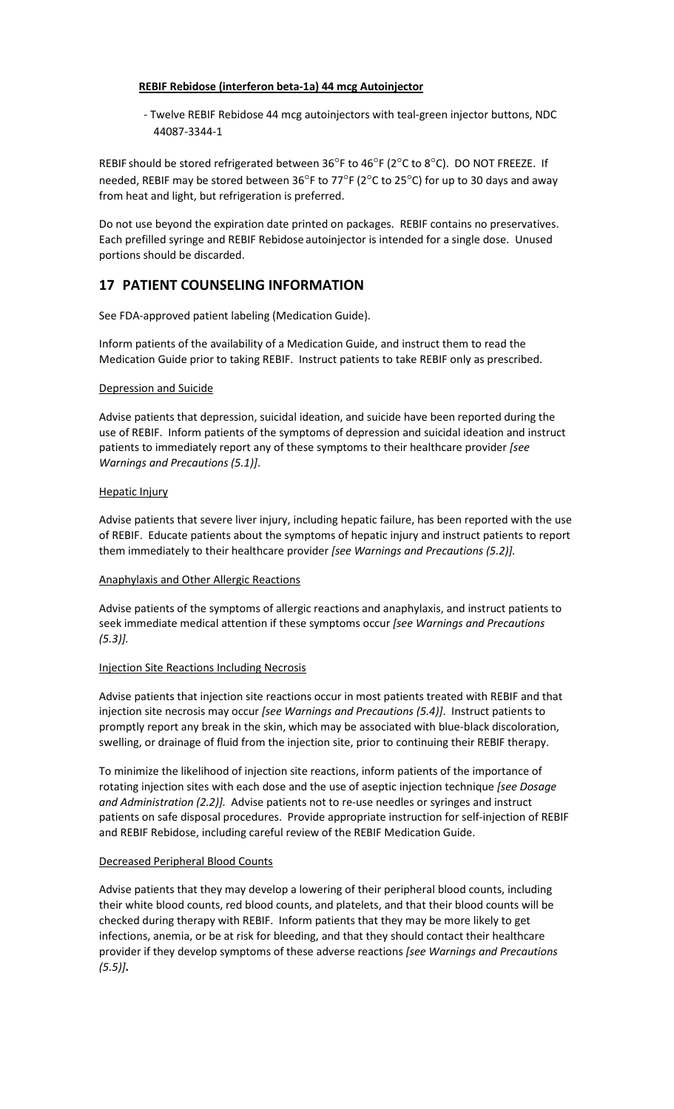## **REBIF Rebidose (interferon beta-1a) 44 mcg Autoinjector**

- Twelve REBIF Rebidose 44 mcg autoinjectors with teal-green injector buttons, NDC 44087-3344-1

REBIF should be stored refrigerated between 36°F to 46°F (2°C to 8°C). DO NOT FREEZE. If needed, REBIF may be stored between 36°F to 77°F (2°C to 25°C) for up to 30 days and away from heat and light, but refrigeration is preferred.

Do not use beyond the expiration date printed on packages. REBIF contains no preservatives. Each prefilled syringe and REBIF Rebidose autoinjector is intended for a single dose. Unused portions should be discarded.

## **17 PATIENT COUNSELING INFORMATION**

See FDA-approved patient labeling (Medication Guide).

Inform patients of the availability of a Medication Guide, and instruct them to read the Medication Guide prior to taking REBIF. Instruct patients to take REBIF only as prescribed.

### Depression and Suicide

Advise patients that depression, suicidal ideation, and suicide have been reported during the use of REBIF. Inform patients of the symptoms of depression and suicidal ideation and instruct patients to immediately report any of these symptoms to their healthcare provider *[see Warnings and Precautions (5.1)]*.

### Hepatic Injury

Advise patients that severe liver injury, including hepatic failure, has been reported with the use of REBIF. Educate patients about the symptoms of hepatic injury and instruct patients to report them immediately to their healthcare provider *[see Warnings and Precautions (5.2)].*

### Anaphylaxis and Other Allergic Reactions

Advise patients of the symptoms of allergic reactions and anaphylaxis, and instruct patients to seek immediate medical attention if these symptoms occur *[see Warnings and Precautions (5.3)].*

### Injection Site Reactions Including Necrosis

Advise patients that injection site reactions occur in most patients treated with REBIF and that injection site necrosis may occur *[see Warnings and Precautions (5.4)]*. Instruct patients to promptly report any break in the skin, which may be associated with blue-black discoloration, swelling, or drainage of fluid from the injection site, prior to continuing their REBIF therapy.

To minimize the likelihood of injection site reactions, inform patients of the importance of rotating injection sites with each dose and the use of aseptic injection technique *[see Dosage and Administration (2.2)].* Advise patients not to re-use needles or syringes and instruct patients on safe disposal procedures. Provide appropriate instruction for self-injection of REBIF and REBIF Rebidose, including careful review of the REBIF Medication Guide.

### Decreased Peripheral Blood Counts

Advise patients that they may develop a lowering of their peripheral blood counts, including their white blood counts, red blood counts, and platelets, and that their blood counts will be checked during therapy with REBIF. Inform patients that they may be more likely to get infections, anemia, or be at risk for bleeding, and that they should contact their healthcare provider if they develop symptoms of these adverse reactions *[see Warnings and Precautions (5.5)]***.**